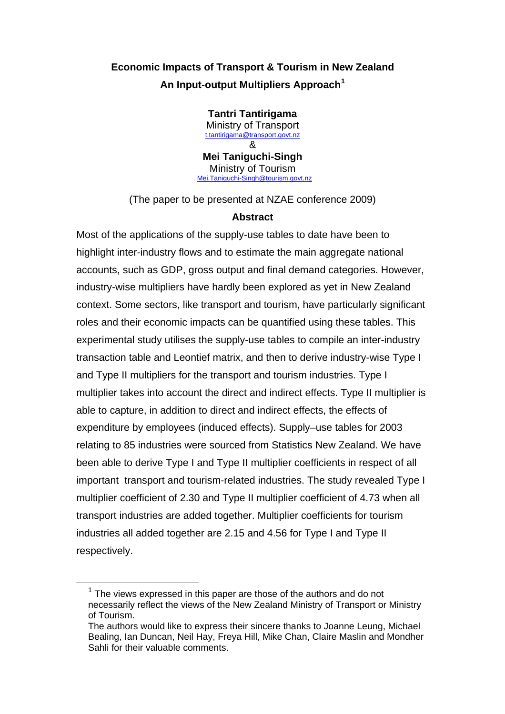# **Economic Impacts of Transport & Tourism in New Zealand An Input-output Multipliers Approach[1](#page-0-0)**

**Tantri Tantirigama**  Ministry of Transport [t.tantirigama@transport.govt.nz](mailto:t.tantirigama@transport.govt.nz) & **Mei Taniguchi-Singh**  Ministry of Tourism<br>
Mei.Taniguchi-Singh@tourism.govt.nz

(The paper to be presented at NZAE conference 2009)

## **Abstract**

Most of the applications of the supply-use tables to date have been to highlight inter-industry flows and to estimate the main aggregate national accounts, such as GDP, gross output and final demand categories. However, industry-wise multipliers have hardly been explored as yet in New Zealand context. Some sectors, like transport and tourism, have particularly significant roles and their economic impacts can be quantified using these tables. This experimental study utilises the supply-use tables to compile an inter-industry transaction table and Leontief matrix, and then to derive industry-wise Type I and Type II multipliers for the transport and tourism industries. Type I multiplier takes into account the direct and indirect effects. Type II multiplier is able to capture, in addition to direct and indirect effects, the effects of expenditure by employees (induced effects). Supply–use tables for 2003 relating to 85 industries were sourced from Statistics New Zealand. We have been able to derive Type I and Type II multiplier coefficients in respect of all important transport and tourism-related industries. The study revealed Type I multiplier coefficient of 2.30 and Type II multiplier coefficient of 4.73 when all transport industries are added together. Multiplier coefficients for tourism industries all added together are 2.15 and 4.56 for Type I and Type II respectively.

<span id="page-0-0"></span> $1$  The views expressed in this paper are those of the authors and do not necessarily reflect the views of the New Zealand Ministry of Transport or Ministry of Tourism.

The authors would like to express their sincere thanks to Joanne Leung, Michael Bealing, Ian Duncan, Neil Hay, Freya Hill, Mike Chan, Claire Maslin and Mondher Sahli for their valuable comments.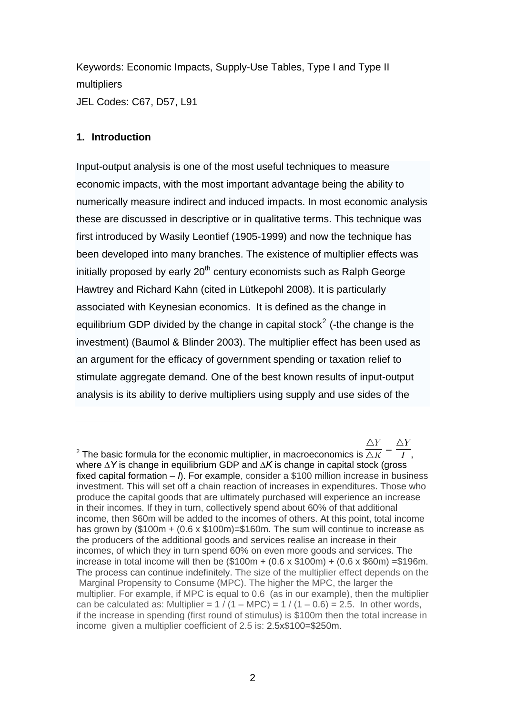Keywords: Economic Impacts, Supply-Use Tables, Type I and Type II multipliers JEL Codes: C67, D57, L91

### **1. Introduction**

 $\overline{a}$ 

Input-output analysis is one of the most useful techniques to measure economic impacts, with the most important advantage being the ability to numerically measure indirect and induced impacts. In most economic analysis these are discussed in descriptive or in qualitative terms. This technique was first introduced by Wasily Leontief (1905-1999) and now the technique has been developed into many branches. The existence of multiplier effects was initially proposed by early 20<sup>th</sup> century economists such as Ralph George [Hawtrey](http://en.wikipedia.org/wiki/Ralph_George_Hawtrey) and Richard Kahn (cited in Lütkepohl 2008). It is particularly associated with [Keynesian economics](http://en.wikipedia.org/wiki/Keynesian_economics). It is defined as the change in equilibrium GDP divided by the change in capital stock<sup>[2](#page-1-0)</sup> (-the change is the investment) (Baumol & Blinder 2003). The multiplier effect has been used as an argument for the efficacy of government spending or taxation relief to stimulate [aggregate demand](http://en.wikipedia.org/wiki/Aggregate_demand). One of the best known results of input-output analysis is its ability to derive multipliers using supply and use sides of the

<span id="page-1-0"></span> $\wedge Y$  $\wedge Y$ <sup>2</sup> The basic formula for the economic multiplier, in macroeconomics is  $\overline{\triangle K}$  =  $\overline{\phantom{a}I}$ , where *∆Y* is change in equilibrium GDP and *∆K* is change in capital stock (gross fixed capital formation – *I*). For example, consider a \$100 million increase in business investment. This will set off a chain reaction of increases in expenditures. Those who produce the capital goods that are ultimately purchased will experience an increase in their incomes. If they in turn, collectively spend about 60% of that additional income, then \$60m will be added to the incomes of others. At this point, total income has grown by (\$100m + (0.6 x \$100m)=\$160m. The sum will continue to increase as the producers of the additional goods and services realise an increase in their incomes, of which they in turn spend 60% on even more goods and services. The increase in total income will then be (\$100m + (0.6 x \$100m) + (0.6 x \$60m) =\$196m. The process can continue indefinitely. The size of the multiplier effect depends on the Marginal Propensity to Consume (MPC). The higher the MPC, the larger the multiplier. For example, if MPC is equal to 0.6 (as in our example), then the multiplier can be calculated as: Multiplier =  $1 / (1 - MPC) = 1 / (1 - 0.6) = 2.5$ . In other words, if the increase in spending (first round of stimulus) is \$100m then the total increase in income given a multiplier coefficient of 2.5 is: 2.5x\$100=\$250m.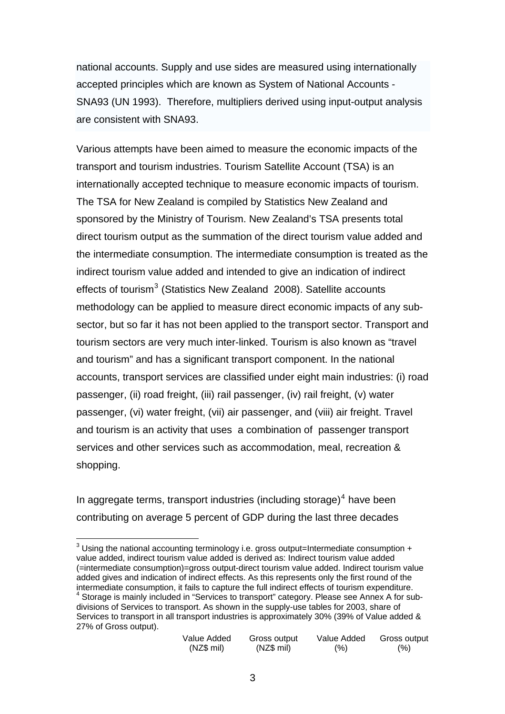national accounts. Supply and use sides are measured using internationally accepted principles which are known as System of National Accounts - SNA93 (UN 1993). Therefore, multipliers derived using input-output analysis are consistent with SNA93.

Various attempts have been aimed to measure the economic impacts of the transport and tourism industries. Tourism Satellite Account (TSA) is an internationally accepted technique to measure economic impacts of tourism. The TSA for New Zealand is compiled by Statistics New Zealand and sponsored by the Ministry of Tourism. New Zealand's TSA presents total direct tourism output as the summation of the direct tourism value added and the intermediate consumption. The intermediate consumption is treated as the indirect tourism value added and intended to give an indication of indirect effects of tourism $3$  (Statistics New Zealand 2008). Satellite accounts methodology can be applied to measure direct economic impacts of any subsector, but so far it has not been applied to the transport sector. Transport and tourism sectors are very much inter-linked. Tourism is also known as "travel and tourism" and has a significant transport component. In the national accounts, transport services are classified under eight main industries: (i) road passenger, (ii) road freight, (iii) rail passenger, (iv) rail freight, (v) water passenger, (vi) water freight, (vii) air passenger, and (viii) air freight. Travel and tourism is an activity that uses a combination of passenger transport services and other services such as accommodation, meal, recreation & shopping.

In aggregate terms, transport industries (including storage) $<sup>4</sup>$  $<sup>4</sup>$  $<sup>4</sup>$  have been</sup> contributing on average 5 percent of GDP during the last three decades

<span id="page-2-1"></span><span id="page-2-0"></span> 3 Using the national accounting terminology i.e. gross output=Intermediate consumption + value added, indirect tourism value added is derived as: Indirect tourism value added (=intermediate consumption)=gross output-direct tourism value added. Indirect tourism value added gives and indication of indirect effects. As this represents only the first round of the intermediate consumption, it fails to capture the full indirect effects of tourism expenditure. 4  $4$  Storage is mainly included in "Services to transport" category. Please see Annex A for subdivisions of Services to transport. As shown in the supply-use tables for 2003, share of Services to transport in all transport industries is approximately 30% (39% of Value added & 27% of Gross output).

| Value Added | Gross output | Value Added | Gross output |
|-------------|--------------|-------------|--------------|
| (NZ\$ mi)   | (NZ\$ mi)    | (%)         | (% )         |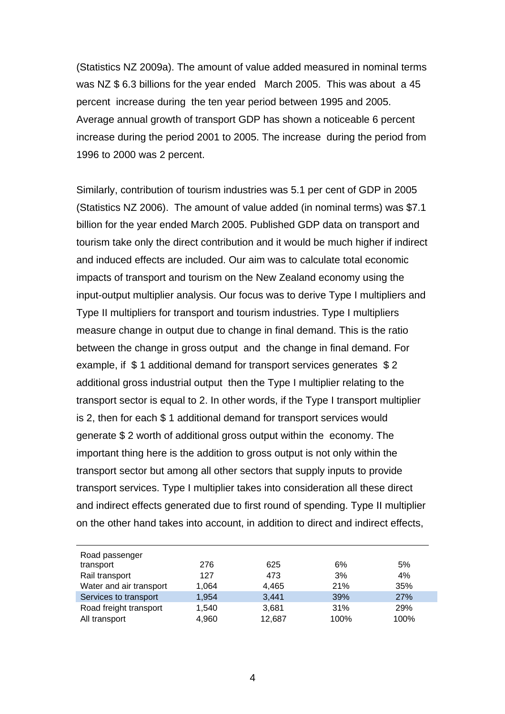(Statistics NZ 2009a). The amount of value added measured in nominal terms was NZ \$ 6.3 billions for the year ended March 2005. This was about a 45 percent increase during the ten year period between 1995 and 2005. Average annual growth of transport GDP has shown a noticeable 6 percent increase during the period 2001 to 2005. The increase during the period from 1996 to 2000 was 2 percent.

Similarly, contribution of tourism industries was 5.1 per cent of GDP in 2005 (Statistics NZ 2006). The amount of value added (in nominal terms) was \$7.1 billion for the year ended March 2005. Published GDP data on transport and tourism take only the direct contribution and it would be much higher if indirect and induced effects are included. Our aim was to calculate total economic impacts of transport and tourism on the New Zealand economy using the input-output multiplier analysis. Our focus was to derive Type I multipliers and Type II multipliers for transport and tourism industries. Type I multipliers measure change in output due to change in final demand. This is the ratio between the change in gross output and the change in final demand. For example, if \$ 1 additional demand for transport services generates \$ 2 additional gross industrial output then the Type I multiplier relating to the transport sector is equal to 2. In other words, if the Type I transport multiplier is 2, then for each \$ 1 additional demand for transport services would generate \$ 2 worth of additional gross output within the economy. The important thing here is the addition to gross output is not only within the transport sector but among all other sectors that supply inputs to provide transport services. Type I multiplier takes into consideration all these direct and indirect effects generated due to first round of spending. Type II multiplier on the other hand takes into account, in addition to direct and indirect effects,

| Road passenger          |       |        |      |      |
|-------------------------|-------|--------|------|------|
| transport               | 276   | 625    | 6%   | 5%   |
| Rail transport          | 127   | 473    | 3%   | 4%   |
| Water and air transport | 1,064 | 4,465  | 21%  | 35%  |
| Services to transport   | 1,954 | 3,441  | 39%  | 27%  |
| Road freight transport  | 1,540 | 3,681  | 31%  | 29%  |
| All transport           | 4,960 | 12,687 | 100% | 100% |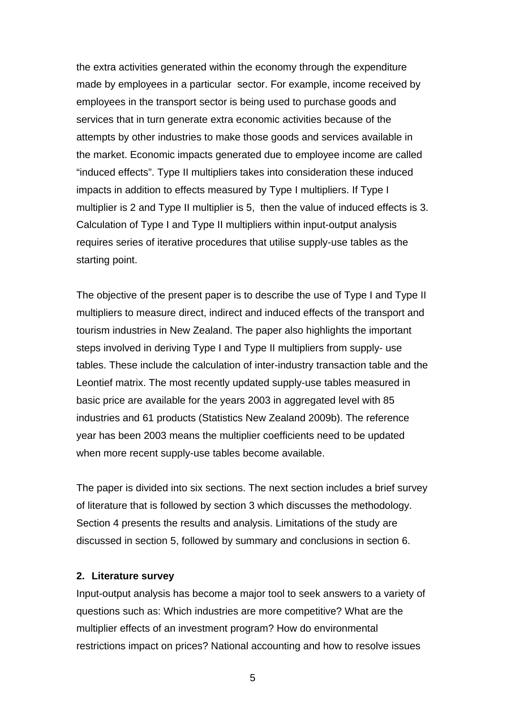the extra activities generated within the economy through the expenditure made by employees in a particular sector. For example, income received by employees in the transport sector is being used to purchase goods and services that in turn generate extra economic activities because of the attempts by other industries to make those goods and services available in the market. Economic impacts generated due to employee income are called "induced effects". Type II multipliers takes into consideration these induced impacts in addition to effects measured by Type I multipliers. If Type I multiplier is 2 and Type II multiplier is 5, then the value of induced effects is 3. Calculation of Type I and Type II multipliers within input-output analysis requires series of iterative procedures that utilise supply-use tables as the starting point.

The objective of the present paper is to describe the use of Type I and Type II multipliers to measure direct, indirect and induced effects of the transport and tourism industries in New Zealand. The paper also highlights the important steps involved in deriving Type I and Type II multipliers from supply- use tables. These include the calculation of inter-industry transaction table and the Leontief matrix. The most recently updated supply-use tables measured in basic price are available for the years 2003 in aggregated level with 85 industries and 61 products (Statistics New Zealand 2009b). The reference year has been 2003 means the multiplier coefficients need to be updated when more recent supply-use tables become available.

The paper is divided into six sections. The next section includes a brief survey of literature that is followed by section 3 which discusses the methodology. Section 4 presents the results and analysis. Limitations of the study are discussed in section 5, followed by summary and conclusions in section 6.

#### **2. Literature survey**

Input-output analysis has become a major tool to seek answers to a variety of questions such as: Which industries are more competitive? What are the multiplier effects of an investment program? How do environmental restrictions impact on prices? National accounting and how to resolve issues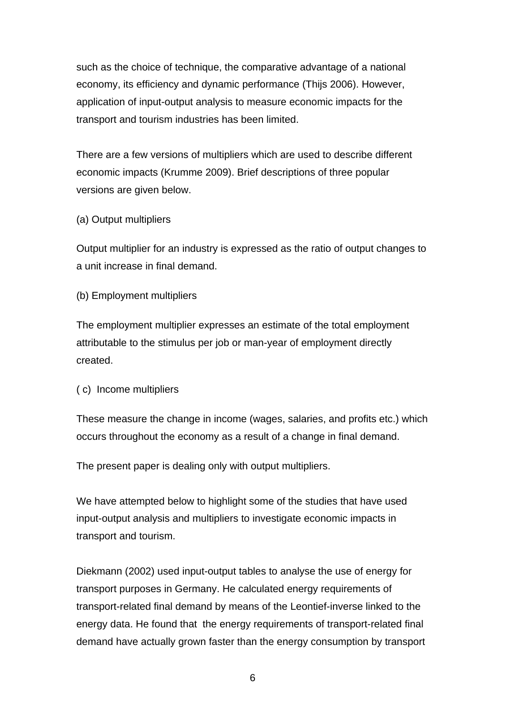such as the choice of technique, the comparative advantage of a national economy, its efficiency and dynamic performance (Thijs 2006). However, application of input-output analysis to measure economic impacts for the transport and tourism industries has been limited.

There are a few versions of multipliers which are used to describe different economic impacts (Krumme 2009). Brief descriptions of three popular versions are given below.

#### (a) Output multipliers

Output multiplier for an industry is expressed as the ratio of output changes to a unit increase in final demand.

(b) Employment multipliers

The employment multiplier expresses an estimate of the total employment attributable to the stimulus per job or man-year of employment directly created.

( c) Income multipliers

These measure the change in income (wages, salaries, and profits etc.) which occurs throughout the economy as a result of a change in final demand.

The present paper is dealing only with output multipliers.

We have attempted below to highlight some of the studies that have used input-output analysis and multipliers to investigate economic impacts in transport and tourism.

Diekmann (2002) used input-output tables to analyse the use of energy for transport purposes in Germany. He calculated energy requirements of transport-related final demand by means of the Leontief-inverse linked to the energy data. He found that the energy requirements of transport-related final demand have actually grown faster than the energy consumption by transport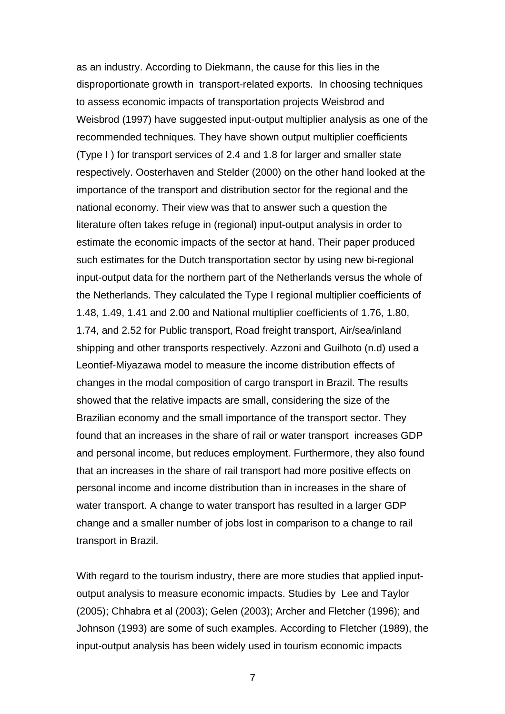as an industry. According to Diekmann, the cause for this lies in the disproportionate growth in transport-related exports. In choosing techniques to assess economic impacts of transportation projects Weisbrod and Weisbrod (1997) have suggested input-output multiplier analysis as one of the recommended techniques. They have shown output multiplier coefficients (Type I ) for transport services of 2.4 and 1.8 for larger and smaller state respectively. Oosterhaven and Stelder (2000) on the other hand looked at the importance of the transport and distribution sector for the regional and the national economy. Their view was that to answer such a question the literature often takes refuge in (regional) input-output analysis in order to estimate the economic impacts of the sector at hand. Their paper produced such estimates for the Dutch transportation sector by using new bi-regional input-output data for the northern part of the Netherlands versus the whole of the Netherlands. They calculated the Type I regional multiplier coefficients of 1.48, 1.49, 1.41 and 2.00 and National multiplier coefficients of 1.76, 1.80, 1.74, and 2.52 for Public transport, Road freight transport, Air/sea/inland shipping and other transports respectively. Azzoni and Guilhoto (n.d) used a Leontief-Miyazawa model to measure the income distribution effects of changes in the modal composition of cargo transport in Brazil. The results showed that the relative impacts are small, considering the size of the Brazilian economy and the small importance of the transport sector. They found that an increases in the share of rail or water transport increases GDP and personal income, but reduces employment. Furthermore, they also found that an increases in the share of rail transport had more positive effects on personal income and income distribution than in increases in the share of water transport. A change to water transport has resulted in a larger GDP change and a smaller number of jobs lost in comparison to a change to rail transport in Brazil.

With regard to the tourism industry, there are more studies that applied inputoutput analysis to measure economic impacts. Studies by Lee and Taylor (2005); Chhabra et al (2003); Gelen (2003); Archer and Fletcher (1996); and Johnson (1993) are some of such examples. According to Fletcher (1989), the input-output analysis has been widely used in tourism economic impacts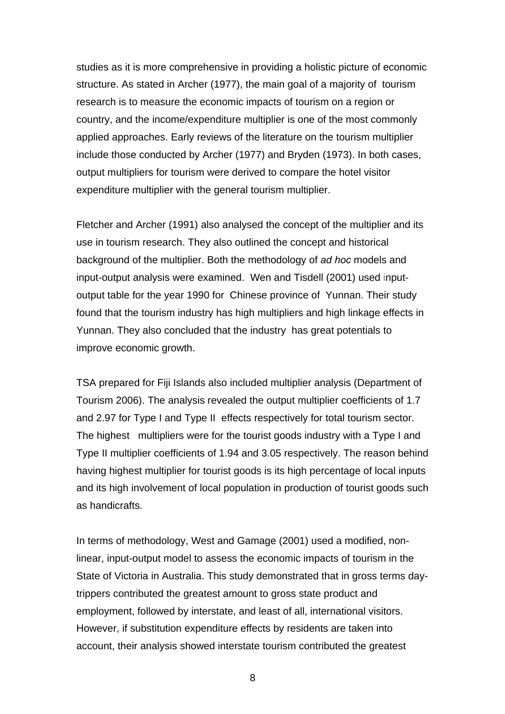studies as it is more comprehensive in providing a holistic picture of economic structure. As stated in Archer (1977), the main goal of a majority of tourism research is to measure the economic impacts of tourism on a region or country, and the income/expenditure multiplier is one of the most commonly applied approaches. Early reviews of the literature on the tourism multiplier include those conducted by Archer (1977) and Bryden (1973). In both cases, output multipliers for tourism were derived to compare the hotel visitor expenditure multiplier with the general tourism multiplier.

Fletcher and Archer (1991) also analysed the concept of the multiplier and its use in tourism research. They also outlined the concept and historical background of the multiplier. Both the methodology of *ad hoc* models and input-output analysis were examined. Wen and Tisdell (2001) used inputoutput table for the year 1990 for Chinese province of Yunnan. Their study found that the tourism industry has high multipliers and high linkage effects in Yunnan. They also concluded that the industry has great potentials to improve economic growth.

TSA prepared for Fiji Islands also included multiplier analysis (Department of Tourism 2006). The analysis revealed the output multiplier coefficients of 1.7 and 2.97 for Type I and Type II effects respectively for total tourism sector. The highest multipliers were for the tourist goods industry with a Type I and Type II multiplier coefficients of 1.94 and 3.05 respectively. The reason behind having highest multiplier for tourist goods is its high percentage of local inputs and its high involvement of local population in production of tourist goods such as handicrafts.

In terms of methodology, West and Gamage (2001) used a modified, nonlinear, input-output model to assess the economic impacts of tourism in the State of Victoria in Australia. This study demonstrated that in gross terms daytrippers contributed the greatest amount to gross state product and employment, followed by interstate, and least of all, international visitors. However, if substitution expenditure effects by residents are taken into account, their analysis showed interstate tourism contributed the greatest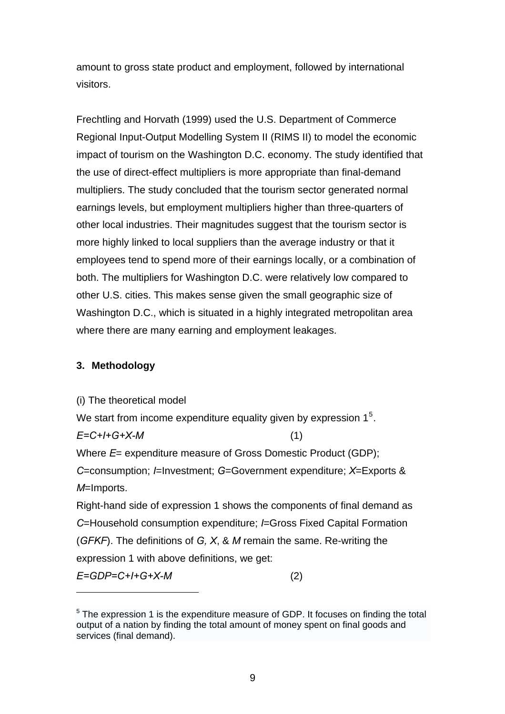amount to gross state product and employment, followed by international visitors.

Frechtling and Horvath (1999) used the U.S. Department of Commerce Regional Input-Output Modelling System II (RIMS II) to model the economic impact of tourism on the Washington D.C. economy. The study identified that the use of direct-effect multipliers is more appropriate than final-demand multipliers. The study concluded that the tourism sector generated normal earnings levels, but employment multipliers higher than three-quarters of other local industries. Their magnitudes suggest that the tourism sector is more highly linked to local suppliers than the average industry or that it employees tend to spend more of their earnings locally, or a combination of both. The multipliers for Washington D.C. were relatively low compared to other U.S. cities. This makes sense given the small geographic size of Washington D.C., which is situated in a highly integrated metropolitan area where there are many earning and employment leakages.

## **3. Methodology**

 $\overline{a}$ 

(i) The theoretical model We start from income expenditure equality given by expression  $1<sup>5</sup>$  $1<sup>5</sup>$  $1<sup>5</sup>$ . *E=C+I+G+X-M* (1) Where *E*= expenditure measure of Gross Domestic Product (GDP); *C*=consumption; *I*=Investment; *G*=Government expenditure; *X*=Exports & *M*=Imports. Right-hand side of expression 1 shows the components of final demand as *C*=Household consumption expenditure; *I*=Gross Fixed Capital Formation (*GFKF*). The definitions of *G, X*, & *M* remain the same. Re-writing the expression 1 with above definitions, we get: *E=GDP=C+I+G+X-M* (2)

<span id="page-8-0"></span><sup>&</sup>lt;sup>5</sup> The expression 1 is the expenditure measure of GDP. It focuses on finding the total output of a nation by finding the total amount of money spent on final goods and services (final demand).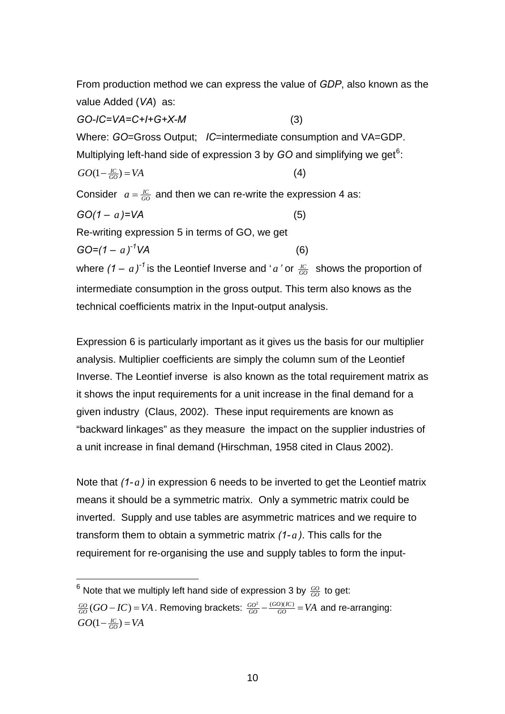From production method we can express the value of *GDP*, also known as the value Added (*VA*) as:

*GO-IC=VA=C+I+G+X-M* (3) Where: *GO*=Gross Output; *IC*=intermediate consumption and VA=GDP. Multiplying left-hand side of expression 3 by GO and simplifying we get<sup>[6](#page-9-0)</sup>:  $GO(1 - \frac{IC}{GO}) = VA$  (4) Consider  $a = \frac{IC}{GO}$  and then we can re-write the expression 4 as:  $GO(1 - a) = VA$  (5) Re-writing expression 5 in terms of GO, we get  $GO=(1-a)^{-1}VA$  (6) where  $(1 - a)^{-1}$  is the Leontief Inverse and '*a*' or  $\frac{IC}{GO}$  shows the proportion of intermediate consumption in the gross output. This term also knows as the

technical coefficients matrix in the Input-output analysis.

Expression 6 is particularly important as it gives us the basis for our multiplier analysis. Multiplier coefficients are simply the column sum of the Leontief Inverse. The Leontief inverse is also known as the total requirement matrix as it shows the input requirements for a unit increase in the final demand for a given industry (Claus, 2002). These input requirements are known as "backward linkages" as they measure the impact on the supplier industries of a unit increase in final demand (Hirschman, 1958 cited in Claus 2002).

Note that (1-a) in expression 6 needs to be inverted to get the Leontief matrix means it should be a symmetric matrix. Only a symmetric matrix could be inverted. Supply and use tables are asymmetric matrices and we require to transform them to obtain a symmetric matrix *(1- a )*. This calls for the requirement for re-organising the use and supply tables to form the input-

 $\overline{a}$ 

<span id="page-9-0"></span> $^6$  Note that we multiply left hand side of expression 3 by  $\frac{GO}{GO}$  to get:

 $\frac{GO}{GO}$  ( $GO - IC$ ) = VA . Removing brackets:  $\frac{GO^2}{GO} - \frac{(GO)(IC)}{GO} = VA$  and re-arranging:  $GO(1 - \frac{IC}{GO}) = VA$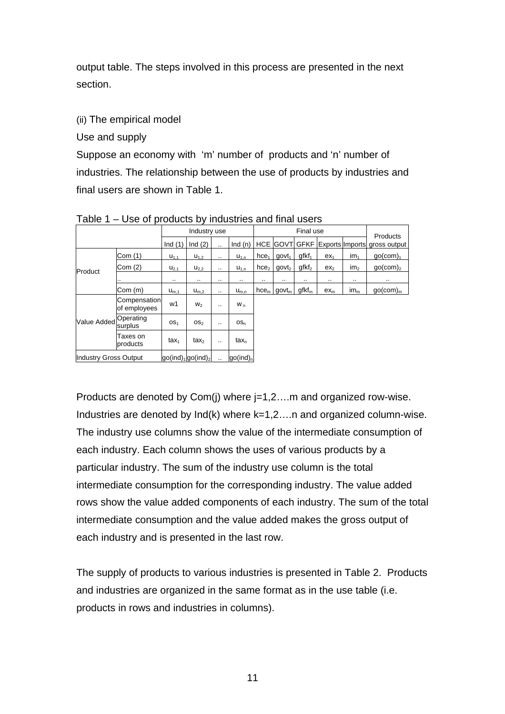output table. The steps involved in this process are presented in the next section.

(ii) The empirical model

Use and supply

Suppose an economy with 'm' number of products and 'n' number of industries. The relationship between the use of products by industries and final users are shown in Table 1.

|                              |                              |                                               | Industry use    |                      |                          |                  |                                                       | Final use         |                 |                 | Products                     |
|------------------------------|------------------------------|-----------------------------------------------|-----------------|----------------------|--------------------------|------------------|-------------------------------------------------------|-------------------|-----------------|-----------------|------------------------------|
|                              |                              | Ind $(1)$                                     | Ind $(2)$       | $\cdot$              | Ind(n)                   |                  | <b>HCE GOVT</b>                                       | <b>GFKF</b>       |                 |                 | Exports Imports gross output |
|                              | Com(1)                       | $U_{1.1}$                                     | $U_{1,2}$       |                      | $U_{1,n}$                | hce <sub>1</sub> | qovt <sub>1</sub>                                     | $qfkf_1$          | ex <sub>1</sub> | $\mathsf{im}_1$ | $qo$ (com) <sub>1</sub>      |
| Product                      | Com(2)                       | $U_{2,1}$                                     | $U_{2,2}$       |                      | $U_{1,n}$                | hce <sub>2</sub> | govt <sub>2</sub>                                     | qfkf <sub>2</sub> | ex <sub>2</sub> | $\mathsf{im}_2$ | $qo$ (com) <sub>2</sub>      |
|                              | $\cdot$                      | $\cdot$ .                                     | $\cdot$ .       | $\cdot$              | $\cdot$                  | $\cdot$          |                                                       | $\cdot$           | $\cdot$ .       | $\cdot$ .       | $\cdot$                      |
|                              | Com (m)                      | $U_{m,1}$                                     | $U_{m,2}$       |                      | $U_{m,n}$                |                  | $\hbar c$ $\mathsf{e}_{\mathsf{m}}$ govt <sub>m</sub> | $g f k f_m$       | $ex_{m}$        | $im_{m}$        | $qo$ (com) <sub>m</sub>      |
|                              | Compensation<br>of employees | w1                                            | W <sub>2</sub>  |                      | W <sub>n</sub>           |                  |                                                       |                   |                 |                 |                              |
| <b>Value Added</b>           | Operating<br>surplus         | OS <sub>1</sub>                               | OS <sub>2</sub> |                      | $OS_n$                   |                  |                                                       |                   |                 |                 |                              |
|                              | Taxes on<br>products         | tax <sub>1</sub>                              | $\text{tax}_2$  |                      | $tax_{n}$                |                  |                                                       |                   |                 |                 |                              |
| <b>Industry Gross Output</b> |                              | $g_0$ (ind) <sub>1</sub> go(ind) <sub>2</sub> |                 | $\ddot{\phantom{a}}$ | $g_0$ (ind) <sub>n</sub> |                  |                                                       |                   |                 |                 |                              |

Table 1 – Use of products by industries and final users

Products are denoted by Com(j) where j=1,2….m and organized row-wise. Industries are denoted by Ind(k) where k=1,2….n and organized column-wise. The industry use columns show the value of the intermediate consumption of each industry. Each column shows the uses of various products by a particular industry. The sum of the industry use column is the total intermediate consumption for the corresponding industry. The value added rows show the value added components of each industry. The sum of the total intermediate consumption and the value added makes the gross output of each industry and is presented in the last row.

The supply of products to various industries is presented in Table 2. Products and industries are organized in the same format as in the use table (i.e. products in rows and industries in columns).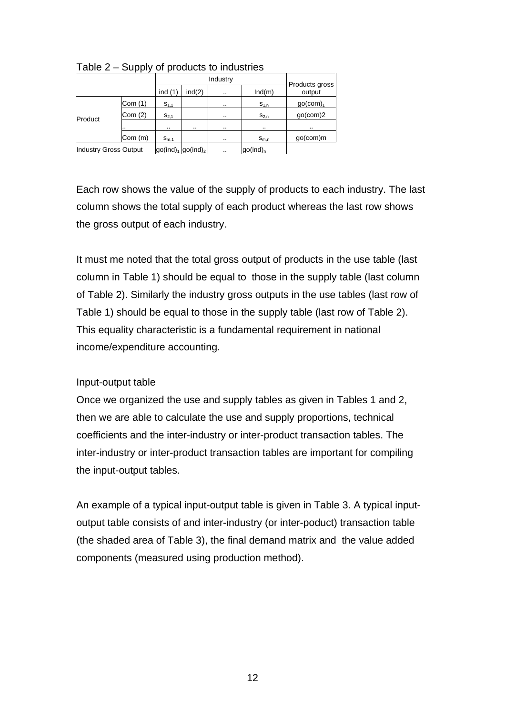|                              |         | Industry  |                     |               |                      | Products gross          |  |
|------------------------------|---------|-----------|---------------------|---------------|----------------------|-------------------------|--|
|                              |         | ind $(1)$ | ind(2)              | $\sim$ $\sim$ | Ind(m)               | output                  |  |
|                              | Com (1) | $S_{1,1}$ |                     | $\cdot$ .     | $S_{1,n}$            | $go$ (com) <sub>1</sub> |  |
| Product                      | Com(2)  | $S_{2,1}$ |                     | $\cdot$       | $S_{2,n}$            | $qo$ (com) $2$          |  |
|                              |         | $\cdot$   | $\cdot$ .           | $\cdot$       | $\cdot$              | $\cdot$                 |  |
|                              | Com(m)  | $S_{m,1}$ |                     | $\cdot$       | $S_{m,n}$            | $qo$ (com)m             |  |
| <b>Industry Gross Output</b> |         |           | $go(ind)1 go(ind)2$ | $\cdot$ .     | go(ind) <sub>n</sub> |                         |  |

Table 2 – Supply of products to industries

Each row shows the value of the supply of products to each industry. The last column shows the total supply of each product whereas the last row shows the gross output of each industry.

It must me noted that the total gross output of products in the use table (last column in Table 1) should be equal to those in the supply table (last column of Table 2). Similarly the industry gross outputs in the use tables (last row of Table 1) should be equal to those in the supply table (last row of Table 2). This equality characteristic is a fundamental requirement in national income/expenditure accounting.

## Input-output table

Once we organized the use and supply tables as given in Tables 1 and 2, then we are able to calculate the use and supply proportions, technical coefficients and the inter-industry or inter-product transaction tables. The inter-industry or inter-product transaction tables are important for compiling the input-output tables.

An example of a typical input-output table is given in Table 3. A typical inputoutput table consists of and inter-industry (or inter-poduct) transaction table (the shaded area of Table 3), the final demand matrix and the value added components (measured using production method).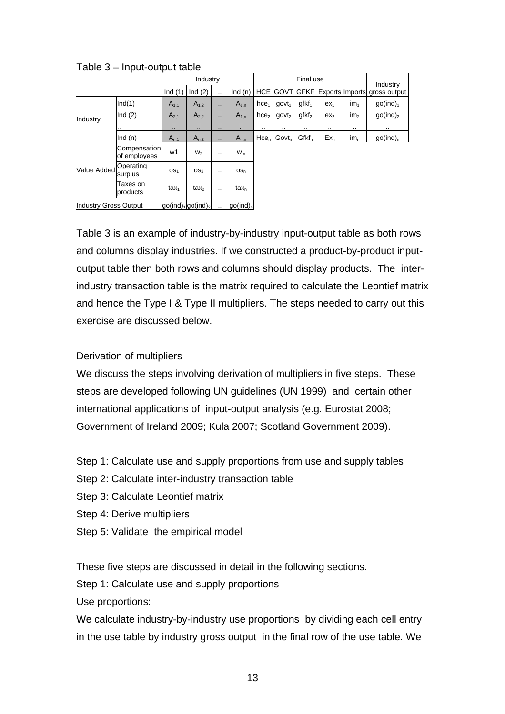|                              |                              |                  | Industry           |                      |                          |                  |                   | Final use         |                 |                 | Industry                     |
|------------------------------|------------------------------|------------------|--------------------|----------------------|--------------------------|------------------|-------------------|-------------------|-----------------|-----------------|------------------------------|
|                              |                              | Ind $(1)$        | Ind $(2)$          | $\ddotsc$            | Ind $(n)$                | <b>HCE</b>       | <b>GOVT</b>       | <b>GFKF</b>       |                 |                 | Exports Imports gross output |
|                              | Ind(1)                       | $A_{1,1}$        | $A_{1,2}$          | $\ddot{\phantom{a}}$ | $A_{1,n}$                | hce <sub>1</sub> | govt <sub>1</sub> | $gfkf_1$          | ex <sub>1</sub> | im <sub>1</sub> | qo(ind) <sub>1</sub>         |
| Industry                     | Ind $(2)$                    | $A_{2,1}$        | $A_{2,2}$          | $\ddot{\phantom{a}}$ | $A_{1,n}$                | hce <sub>2</sub> | govt <sub>2</sub> | qfkf <sub>2</sub> | ex <sub>2</sub> | im <sub>2</sub> | $qo(ind)_2$                  |
|                              |                              | ٠.               | ٠.                 | $\cdot$              | ٠.                       |                  |                   |                   |                 |                 | $\cdot$                      |
|                              | Ind $(n)$                    | $A_{n,1}$        | $A_{n,2}$          |                      | $A_{n,n}$                | $Hce_n$          | Govt <sub>n</sub> | $Gfkf_n$          | $Ex_n$          | $im_{n}$        | go(ind) <sub>n</sub>         |
|                              | Compensation<br>of employees | w1               | W <sub>2</sub>     |                      | W <sub>n</sub>           |                  |                   |                   |                 |                 |                              |
| <b>Value Added</b>           | Operating<br>surplus         | OS <sub>1</sub>  | OS <sub>2</sub>    | $\cdot$ .            | $OS_n$                   |                  |                   |                   |                 |                 |                              |
|                              | Taxes on<br>products         | tax <sub>1</sub> | tax <sub>2</sub>   |                      | $tax_{n}$                |                  |                   |                   |                 |                 |                              |
| <b>Industry Gross Output</b> |                              |                  | $go(ind)1go(ind)2$ |                      | $g_0$ (ind) <sub>n</sub> |                  |                   |                   |                 |                 |                              |

Table 3 – Input-output table

Table 3 is an example of industry-by-industry input-output table as both rows and columns display industries. If we constructed a product-by-product inputoutput table then both rows and columns should display products. The interindustry transaction table is the matrix required to calculate the Leontief matrix and hence the Type I & Type II multipliers. The steps needed to carry out this exercise are discussed below.

## Derivation of multipliers

We discuss the steps involving derivation of multipliers in five steps. These steps are developed following UN guidelines (UN 1999) and certain other international applications of input-output analysis (e.g. Eurostat 2008; Government of Ireland 2009; Kula 2007; Scotland Government 2009).

Step 1: Calculate use and supply proportions from use and supply tables

- Step 2: Calculate inter-industry transaction table
- Step 3: Calculate Leontief matrix
- Step 4: Derive multipliers
- Step 5: Validate the empirical model

These five steps are discussed in detail in the following sections.

Step 1: Calculate use and supply proportions

Use proportions:

We calculate industry-by-industry use proportions by dividing each cell entry in the use table by industry gross output in the final row of the use table. We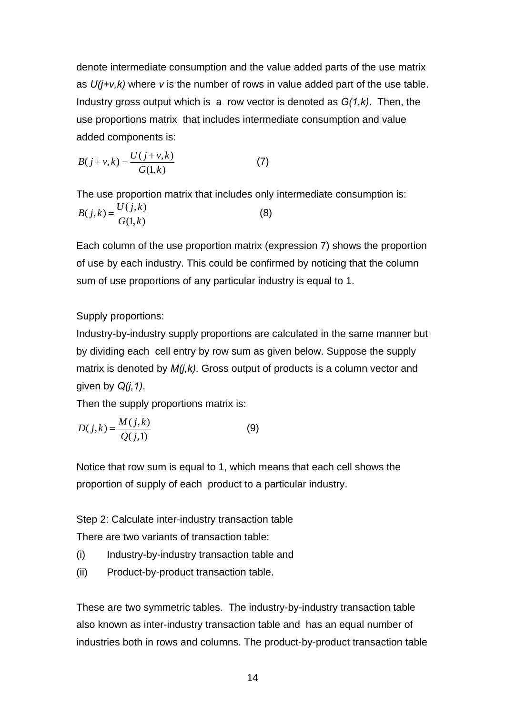denote intermediate consumption and the value added parts of the use matrix as *U(j+v,k)* where *v* is the number of rows in value added part of the use table. Industry gross output which is a row vector is denoted as *G(1,k)*. Then, the use proportions matrix that includes intermediate consumption and value added components is:

$$
B(j+v,k) = \frac{U(j+v,k)}{G(1,k)}
$$
 (7)

The use proportion matrix that includes only intermediate consumption is:  $B(j, k) = \frac{U(j, k)}{G(1, k)}$  (8)

Each column of the use proportion matrix (expression 7) shows the proportion of use by each industry. This could be confirmed by noticing that the column sum of use proportions of any particular industry is equal to 1.

Supply proportions:

Industry-by-industry supply proportions are calculated in the same manner but by dividing each cell entry by row sum as given below. Suppose the supply matrix is denoted by *M(j,k)*. Gross output of products is a column vector and given by *Q(j,1)*.

Then the supply proportions matrix is:

$$
D(j,k) = \frac{M(j,k)}{Q(j,1)}
$$
 (9)

Notice that row sum is equal to 1, which means that each cell shows the proportion of supply of each product to a particular industry.

Step 2: Calculate inter-industry transaction table There are two variants of transaction table:

- (i) Industry-by-industry transaction table and
- (ii) Product-by-product transaction table.

These are two symmetric tables. The industry-by-industry transaction table also known as inter-industry transaction table and has an equal number of industries both in rows and columns. The product-by-product transaction table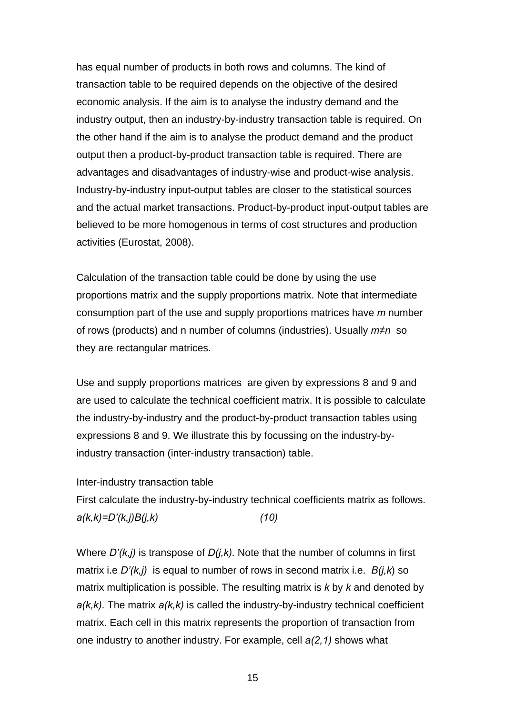has equal number of products in both rows and columns. The kind of transaction table to be required depends on the objective of the desired economic analysis. If the aim is to analyse the industry demand and the industry output, then an industry-by-industry transaction table is required. On the other hand if the aim is to analyse the product demand and the product output then a product-by-product transaction table is required. There are advantages and disadvantages of industry-wise and product-wise analysis. Industry-by-industry input-output tables are closer to the statistical sources and the actual market transactions. Product-by-product input-output tables are believed to be more homogenous in terms of cost structures and production activities (Eurostat, 2008).

Calculation of the transaction table could be done by using the use proportions matrix and the supply proportions matrix. Note that intermediate consumption part of the use and supply proportions matrices have *m* number of rows (products) and n number of columns (industries). Usually *m≠n* so they are rectangular matrices.

Use and supply proportions matrices are given by expressions 8 and 9 and are used to calculate the technical coefficient matrix. It is possible to calculate the industry-by-industry and the product-by-product transaction tables using expressions 8 and 9. We illustrate this by focussing on the industry-byindustry transaction (inter-industry transaction) table.

Inter-industry transaction table

First calculate the industry-by-industry technical coefficients matrix as follows. *a(k,k)=D'(k,j)B(j,k) (10)* 

Where *D'(k,j)* is transpose of *D(j,k).* Note that the number of columns in first matrix i.e *D'(k,j)* is equal to number of rows in second matrix i.e. *B(j,k*) so matrix multiplication is possible. The resulting matrix is *k* by *k* and denoted by *a(k,k).* The matrix *a(k,k)* is called the industry-by-industry technical coefficient matrix. Each cell in this matrix represents the proportion of transaction from one industry to another industry. For example, cell *a(2,1)* shows what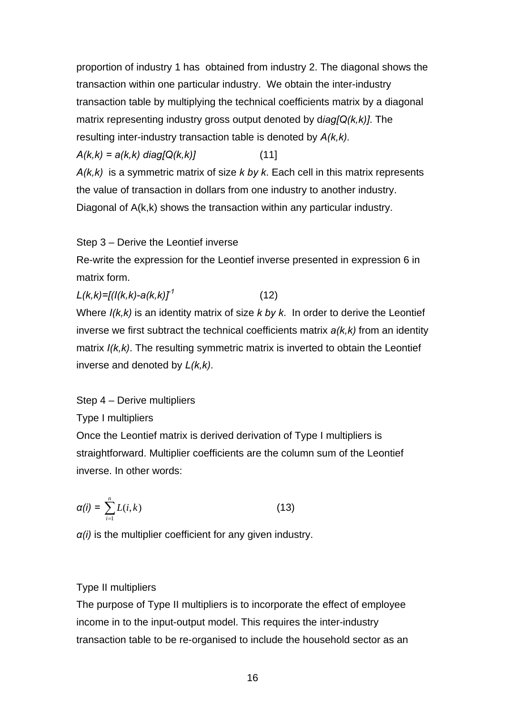proportion of industry 1 has obtained from industry 2. The diagonal shows the transaction within one particular industry. We obtain the inter-industry transaction table by multiplying the technical coefficients matrix by a diagonal matrix representing industry gross output denoted by d*iag[Q(k,k)]*. The resulting inter-industry transaction table is denoted by *A(k,k).*

*A(k,k) = a(k,k) diag[Q(k,k)]* (11]

*A(k,k)* is a symmetric matrix of size *k by k*. Each cell in this matrix represents the value of transaction in dollars from one industry to another industry. Diagonal of A(k,k) shows the transaction within any particular industry.

Step 3 – Derive the Leontief inverse

Re-write the expression for the Leontief inverse presented in expression 6 in matrix form.

 $L(k,k)=[(l(k,k)-a(k,k)]^T$  (12)

Where *I(k,k)* is an identity matrix of size *k by k*. In order to derive the Leontief inverse we first subtract the technical coefficients matrix *a(k,k)* from an identity matrix  $I(k, k)$ . The resulting symmetric matrix is inverted to obtain the Leontief inverse and denoted by *L(k,k)*.

## Step 4 – Derive multipliers

Type I multipliers

Once the Leontief matrix is derived derivation of Type I multipliers is straightforward. Multiplier coefficients are the column sum of the Leontief inverse. In other words:

$$
\alpha(i) = \sum_{i=1}^{n} L(i,k) \tag{13}
$$

*α(i)* is the multiplier coefficient for any given industry.

## Type II multipliers

The purpose of Type II multipliers is to incorporate the effect of employee income in to the input-output model. This requires the inter-industry transaction table to be re-organised to include the household sector as an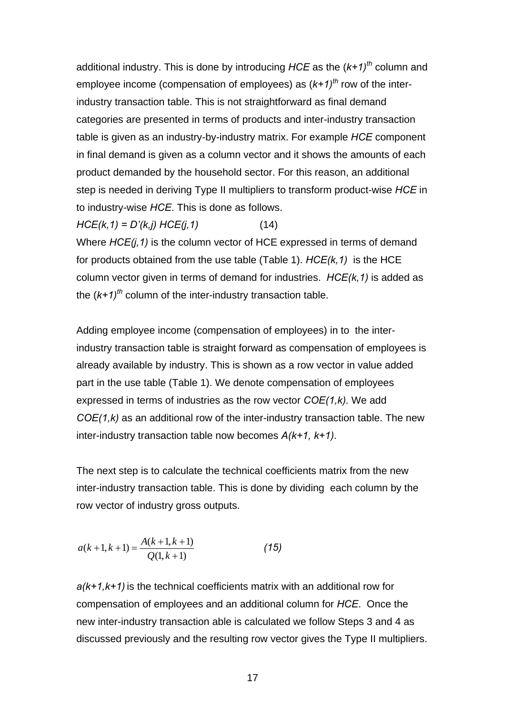additional industry. This is done by introducing *HCE* as the (*k+1)th* column and employee income (compensation of employees) as (*k+1)th* row of the interindustry transaction table. This is not straightforward as final demand categories are presented in terms of products and inter-industry transaction table is given as an industry-by-industry matrix. For example *HCE* component in final demand is given as a column vector and it shows the amounts of each product demanded by the household sector. For this reason, an additional step is needed in deriving Type II multipliers to transform product-wise *HCE* in to industry-wise *HCE*. This is done as follows.

*HCE(k,1) = D'(k,j) HCE(j,1)* (14)

Where *HCE(j,1)* is the column vector of HCE expressed in terms of demand for products obtained from the use table (Table 1). *HCE(k,1)* is the HCE column vector given in terms of demand for industries. *HCE(k,1)* is added as the (*k+1)th* column of the inter-industry transaction table.

Adding employee income (compensation of employees) in to the interindustry transaction table is straight forward as compensation of employees is already available by industry. This is shown as a row vector in value added part in the use table (Table 1). We denote compensation of employees expressed in terms of industries as the row vector *COE(1,k).* We add *COE(1,k)* as an additional row of the inter-industry transaction table. The new inter-industry transaction table now becomes *A(k+1, k+1)*.

The next step is to calculate the technical coefficients matrix from the new inter-industry transaction table. This is done by dividing each column by the row vector of industry gross outputs.

$$
a(k+1,k+1) = \frac{A(k+1,k+1)}{Q(1,k+1)}
$$
 (15)

*a(k+1,k+1)* is the technical coefficients matrix with an additional row for compensation of employees and an additional column for *HCE*. Once the new inter-industry transaction able is calculated we follow Steps 3 and 4 as discussed previously and the resulting row vector gives the Type II multipliers.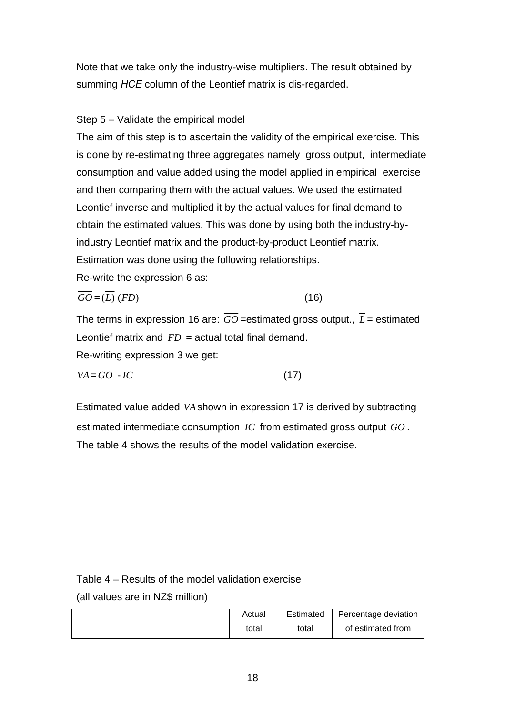Note that we take only the industry-wise multipliers. The result obtained by summing *HCE* column of the Leontief matrix is dis-regarded.

## Step 5 – Validate the empirical model

The aim of this step is to ascertain the validity of the empirical exercise. This is done by re-estimating three aggregates namely gross output, intermediate consumption and value added using the model applied in empirical exercise and then comparing them with the actual values. We used the estimated Leontief inverse and multiplied it by the actual values for final demand to obtain the estimated values. This was done by using both the industry-byindustry Leontief matrix and the product-by-product Leontief matrix. Estimation was done using the following relationships. Re-write the expression 6 as:

$$
\overline{GO} = (\overline{L})(FD) \tag{16}
$$

The terms in expression 16 are:  $\overline{GO}$  =estimated gross output.,  $\overline{L}$  = estimated Leontief matrix and *FD* = actual total final demand.

Re-writing expression 3 we get:

$$
\overline{VA} = \overline{GO} - \overline{IC} \tag{17}
$$

Estimated value added  $\overline{VA}$  shown in expression 17 is derived by subtracting estimated intermediate consumption *IC* from estimated gross output *GO* . The table 4 shows the results of the model validation exercise.

## Table 4 – Results of the model validation exercise

(all values are in NZ\$ million)

| Actual | Estimated | Percentage deviation |
|--------|-----------|----------------------|
| total  | total     | of estimated from    |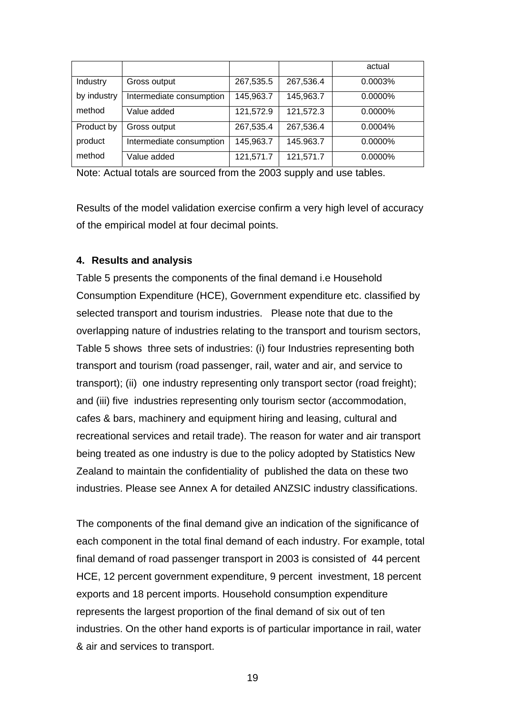|             |                          |           |           | actual  |
|-------------|--------------------------|-----------|-----------|---------|
| Industry    | Gross output             | 267,535.5 | 267,536.4 | 0.0003% |
| by industry | Intermediate consumption | 145,963.7 | 145,963.7 | 0.0000% |
| method      | Value added              | 121,572.9 | 121,572.3 | 0.0000% |
| Product by  | Gross output             | 267,535.4 | 267,536.4 | 0.0004% |
| product     | Intermediate consumption | 145,963.7 | 145.963.7 | 0.0000% |
| method      | Value added              | 121,571.7 | 121,571.7 | 0.0000% |

Note: Actual totals are sourced from the 2003 supply and use tables.

Results of the model validation exercise confirm a very high level of accuracy of the empirical model at four decimal points.

#### **4. Results and analysis**

Table 5 presents the components of the final demand i.e Household Consumption Expenditure (HCE), Government expenditure etc. classified by selected transport and tourism industries. Please note that due to the overlapping nature of industries relating to the transport and tourism sectors, Table 5 shows three sets of industries: (i) four Industries representing both transport and tourism (road passenger, rail, water and air, and service to transport); (ii) one industry representing only transport sector (road freight); and (iii) five industries representing only tourism sector (accommodation, cafes & bars, machinery and equipment hiring and leasing, cultural and recreational services and retail trade). The reason for water and air transport being treated as one industry is due to the policy adopted by Statistics New Zealand to maintain the confidentiality of published the data on these two industries. Please see Annex A for detailed ANZSIC industry classifications.

The components of the final demand give an indication of the significance of each component in the total final demand of each industry. For example, total final demand of road passenger transport in 2003 is consisted of 44 percent HCE, 12 percent government expenditure, 9 percent investment, 18 percent exports and 18 percent imports. Household consumption expenditure represents the largest proportion of the final demand of six out of ten industries. On the other hand exports is of particular importance in rail, water & air and services to transport.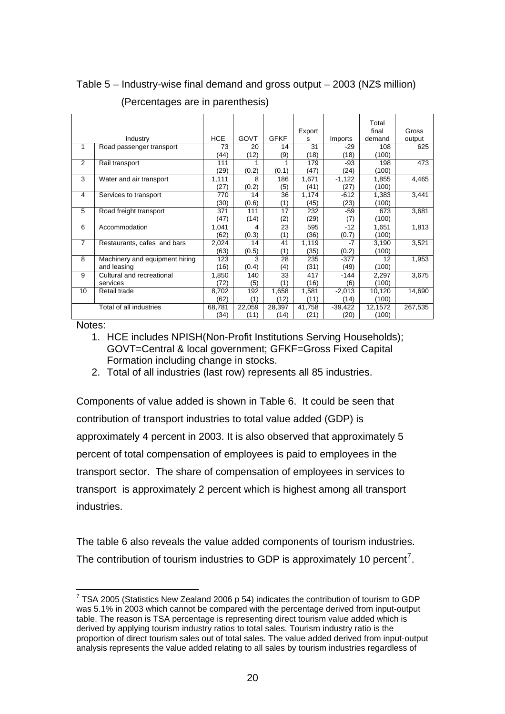|                |                                |            |        |             | Export |           | Total<br>final | Gross   |
|----------------|--------------------------------|------------|--------|-------------|--------|-----------|----------------|---------|
|                | Industry                       | <b>HCE</b> | GOVT   | <b>GFKF</b> | s      | Imports   | demand         | output  |
| $\mathbf{1}$   | Road passenger transport       | 73         | 20     | 14          | 31     | $-29$     | 108            | 625     |
|                |                                | (44)       | (12)   | (9)         | (18)   | (18)      | (100)          |         |
| 2              | Rail transport                 | 111        |        |             | 179    | -93       | 198            | 473     |
|                |                                | (29)       | (0.2)  | (0.1)       | (47)   | (24)      | (100)          |         |
| 3              | Water and air transport        | 1,111      | 8      | 186         | 1,671  | $-1,122$  | 1,855          | 4,465   |
|                |                                | (27)       | (0.2)  | (5)         | (41)   | (27)      | (100)          |         |
| $\overline{4}$ | Services to transport          | 770        | 14     | 36          | 1,174  | $-612$    | 1,383          | 3,441   |
|                |                                | (30)       | (0.6)  | (1)         | (45)   | (23)      | (100)          |         |
| 5              | Road freight transport         | 371        | 111    | 17          | 232    | $-59$     | 673            | 3,681   |
|                |                                | (47)       | (14)   | (2)         | (29)   | (7)       | (100)          |         |
| 6              | Accommodation                  | 1,041      | 4      | 23          | 595    | $-12$     | 1,651          | 1,813   |
|                |                                | (62)       | (0.3)  | (1)         | (36)   | (0.7)     | (100)          |         |
| $\overline{7}$ | Restaurants, cafes and bars    | 2,024      | 14     | 41          | 1,119  | -7        | 3,190          | 3,521   |
|                |                                | (63)       | (0.5)  | (1)         | (35)   | (0.2)     | (100)          |         |
| 8              | Machinery and equipment hiring | 123        | 3      | 28          | 235    | $-377$    | 12             | 1,953   |
|                | and leasing                    | (16)       | (0.4)  | (4)         | (31)   | (49)      | (100)          |         |
| 9              | Cultural and recreational      | 1,850      | 140    | 33          | 417    | -144      | 2,297          | 3,675   |
|                | services                       | (72)       | (5)    | (1)         | (16)   | (6)       | (100)          |         |
| 10             | Retail trade                   | 8,702      | 192    | 1,658       | 1,581  | $-2,013$  | 10,120         | 14,690  |
|                |                                | (62)       | (1)    | (12)        | (11)   | (14)      | (100)          |         |
|                | Total of all industries        | 68,781     | 22,059 | 28,397      | 41,758 | $-39,422$ | 12,1572        | 267,535 |
|                |                                | (34)       | (11)   | (14)        | (21)   | (20)      | (100)          |         |

## Table 5 – Industry-wise final demand and gross output – 2003 (NZ\$ million)

(Percentages are in parenthesis)

Notes:

- 1. HCE includes NPISH(Non-Profit Institutions Serving Households); GOVT=Central & local government; GFKF=Gross Fixed Capital Formation including change in stocks.
- 2. Total of all industries (last row) represents all 85 industries.

Components of value added is shown in Table 6. It could be seen that contribution of transport industries to total value added (GDP) is approximately 4 percent in 2003. It is also observed that approximately 5 percent of total compensation of employees is paid to employees in the transport sector. The share of compensation of employees in services to transport is approximately 2 percent which is highest among all transport industries.

The table 6 also reveals the value added components of tourism industries. The contribution of tourism industries to GDP is approximately 10 percent<sup>[7](#page-19-0)</sup>.

<span id="page-19-0"></span> $\overline{a}$ <sup>7</sup> TSA 2005 (Statistics New Zealand 2006 p 54) indicates the contribution of tourism to GDP was 5.1% in 2003 which cannot be compared with the percentage derived from input-output table. The reason is TSA percentage is representing direct tourism value added which is derived by applying tourism industry ratios to total sales. Tourism industry ratio is the proportion of direct tourism sales out of total sales. The value added derived from input-output analysis represents the value added relating to all sales by tourism industries regardless of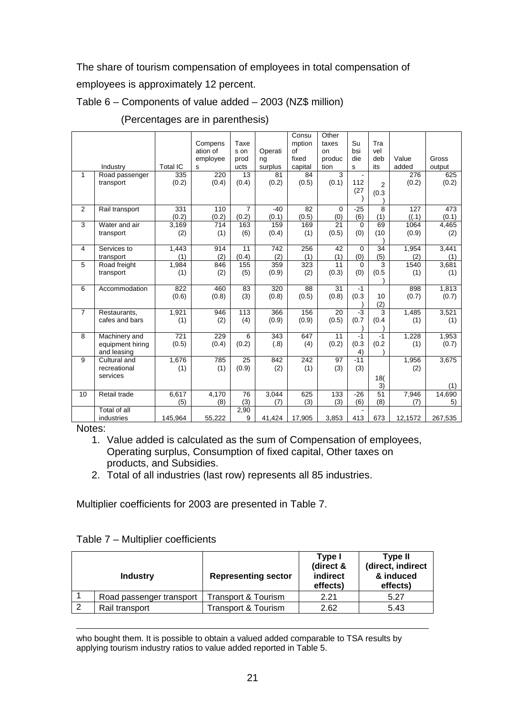The share of tourism compensation of employees in total compensation of employees is approximately 12 percent.

## Table 6 – Components of value added – 2003 (NZ\$ million)

|                |                                 |                 | Compens              | Taxe            |               | Consu<br>mption | Other<br>taxes | Su              | Tra             |         |                |
|----------------|---------------------------------|-----------------|----------------------|-----------------|---------------|-----------------|----------------|-----------------|-----------------|---------|----------------|
|                |                                 |                 | ation of<br>employee | s on<br>prod    | Operati<br>ng | of<br>fixed     | on<br>produc   | bsi<br>die      | vel<br>deb      | Value   | Gross          |
|                | Industry                        | <b>Total IC</b> | s                    | ucts            | surplus       | capital         | tion           | s               | its             | added   | output         |
| 1              | Road passenger                  | 335             | 220                  | 13              | 81            | 84              | 3              |                 |                 | 276     | 625            |
|                | transport                       | (0.2)           | (0.4)                | (0.4)           | (0.2)         | (0.5)           | (0.1)          | 112             | $\overline{2}$  | (0.2)   | (0.2)          |
|                |                                 |                 |                      |                 |               |                 |                | (27)            | (0.3)           |         |                |
|                |                                 |                 |                      |                 |               |                 |                |                 |                 |         |                |
| 2              | Rail transport                  | 331             | 110                  | 7               | $-40$         | 82              | $\Omega$       | $-25$           | 8               | 127     | 473            |
|                |                                 | (0.2)           | (0.2)                | (0.2)           | (0.1)         | (0.5)           | (0)            | (6)             | (1)             | ((.1)   | (0.1)          |
| 3              | Water and air                   | 3,169           | 714                  | 163             | 159           | 169             | 21             | $\Omega$<br>(0) | 69<br>(10)      | 1064    | 4,465          |
|                | transport                       | (2)             | (1)                  | (6)             | (0.4)         | (1)             | (0.5)          |                 |                 | (0.9)   | (2)            |
| 4              | Services to                     | 1,443           | 914                  | 11              | 742           | 256             | 42             | $\mathbf 0$     | 34              | 1,954   | 3,441          |
|                | transport                       | (1)             | (2)                  | (0.4)           | (2)           | (1)             | (1)            | (0)             | (5)             | (2)     | (1)            |
| 5              | Road freight                    | 1,984           | 846                  | 155             | 359           | 323             | 11             | $\Omega$        | 3               | 1540    | 3,681          |
|                | transport                       | (1)             | (2)                  | (5)             | (0.9)         | (2)             | (0.3)          | (0)             | (0.5)           | (1)     | (1)            |
| 6              |                                 | 822             | 460                  | 83              |               | 88              | 31             |                 |                 | 898     |                |
|                | Accommodation                   | (0.6)           | (0.8)                | (3)             | 320<br>(0.8)  | (0.5)           | (0.8)          | $-1$<br>(0.3)   | 10              | (0.7)   | 1,813<br>(0.7) |
|                |                                 |                 |                      |                 |               |                 |                |                 | (2)             |         |                |
| $\overline{7}$ | Restaurants,                    | 1,921           | 946                  | 113             | 366           | 156             | 20             | $-3$            | 3               | 1,485   | 3,521          |
|                | cafes and bars                  | (1)             | (2)                  | (4)             | (0.9)         | (0.9)           | (0.5)          | (0.7)           | (0.4)           | (1)     | (1)            |
|                |                                 |                 |                      |                 |               |                 |                |                 |                 |         |                |
| 8              | Machinery and                   | 721             | 229                  | 6               | 343           | 647             | 11             | $-1$            | $-1$            | 1,228   | 1,953          |
|                | equipment hiring<br>and leasing | (0.5)           | (0.4)                | (0.2)           | (.8)          | (4)             | (0.2)          | (0.3)<br>4)     | (0.2)           | (1)     | (0.7)          |
| 9              | Cultural and                    | 1,676           | 785                  | 25              | 842           | 242             | 97             | $-11$           |                 | 1,956   | 3.675          |
|                | recreational                    | (1)             | (1)                  | (0.9)           | (2)           | (1)             | (3)            | (3)             |                 | (2)     |                |
|                | services                        |                 |                      |                 |               |                 |                |                 | 18(             |         |                |
|                |                                 |                 |                      |                 |               |                 |                |                 | 3)              |         | (1)            |
| 10             | Retail trade                    | 6,617           | 4,170                | $\overline{76}$ | 3,044         | 625             | 133            | $-26$           | $\overline{51}$ | 7,946   | 14,690         |
|                |                                 | (5)             | (8)                  | (3)             | (7)           | (3)             | (3)            | (6)             | (8)             | (7)     | 5)             |
|                | Total of all                    |                 |                      | 2,90            |               |                 |                |                 |                 |         |                |
|                | industries                      | 145,964         | 55,222               | 9               | 41,424        | 17,905          | 3,853          | 413             | 673             | 12,1572 | 267,535        |

## (Percentages are in parenthesis)

Notes:

- 1. Value added is calculated as the sum of Compensation of employees, Operating surplus, Consumption of fixed capital, Other taxes on products, and Subsidies.
- 2. Total of all industries (last row) represents all 85 industries.

Multiplier coefficients for 2003 are presented in Table 7.

#### Table 7 – Multiplier coefficients

| <b>Industry</b>          | <b>Representing sector</b> | Type I<br>(direct &<br>indirect<br>effects) | Type II<br>(direct, indirect<br>& induced<br>effects) |  |
|--------------------------|----------------------------|---------------------------------------------|-------------------------------------------------------|--|
| Road passenger transport | Transport & Tourism_       | 2.21                                        | 5.27                                                  |  |
| Rail transport           | Transport & Tourism        | 2.62                                        | 5.43                                                  |  |

 $\overline{a}$ who bought them. It is possible to obtain a valued added comparable to TSA results by applying tourism industry ratios to value added reported in Table 5.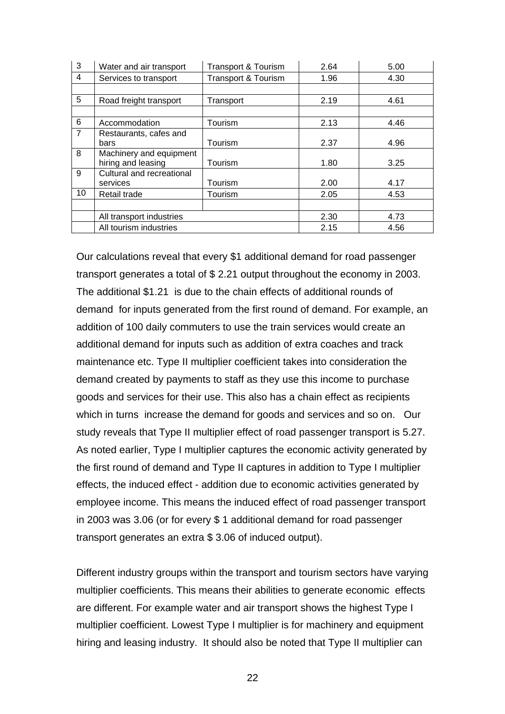| 3              | Water and air transport   | <b>Transport &amp; Tourism</b> | 2.64 | 5.00 |
|----------------|---------------------------|--------------------------------|------|------|
| 4              | Services to transport     | <b>Transport &amp; Tourism</b> | 1.96 | 4.30 |
|                |                           |                                |      |      |
| 5              | Road freight transport    | Transport                      | 2.19 | 4.61 |
|                |                           |                                |      |      |
| 6              | Accommodation             | Tourism                        | 2.13 | 4.46 |
| $\overline{7}$ | Restaurants, cafes and    |                                |      |      |
|                | bars                      | Tourism                        | 2.37 | 4.96 |
| 8              | Machinery and equipment   |                                |      |      |
|                | hiring and leasing        | Tourism                        | 1.80 | 3.25 |
| 9              | Cultural and recreational |                                |      |      |
|                | services                  | Tourism                        | 2.00 | 4.17 |
| 10             | Retail trade              | Tourism                        | 2.05 | 4.53 |
|                |                           |                                |      |      |
|                | All transport industries  |                                | 2.30 | 4.73 |
|                | All tourism industries    |                                | 2.15 | 4.56 |

Our calculations reveal that every \$1 additional demand for road passenger transport generates a total of \$ 2.21 output throughout the economy in 2003. The additional \$1.21 is due to the chain effects of additional rounds of demand for inputs generated from the first round of demand. For example, an addition of 100 daily commuters to use the train services would create an additional demand for inputs such as addition of extra coaches and track maintenance etc. Type II multiplier coefficient takes into consideration the demand created by payments to staff as they use this income to purchase goods and services for their use. This also has a chain effect as recipients which in turns increase the demand for goods and services and so on. Our study reveals that Type II multiplier effect of road passenger transport is 5.27. As noted earlier, Type I multiplier captures the economic activity generated by the first round of demand and Type II captures in addition to Type I multiplier effects, the induced effect - addition due to economic activities generated by employee income. This means the induced effect of road passenger transport in 2003 was 3.06 (or for every \$ 1 additional demand for road passenger transport generates an extra \$ 3.06 of induced output).

Different industry groups within the transport and tourism sectors have varying multiplier coefficients. This means their abilities to generate economic effects are different. For example water and air transport shows the highest Type I multiplier coefficient. Lowest Type I multiplier is for machinery and equipment hiring and leasing industry. It should also be noted that Type II multiplier can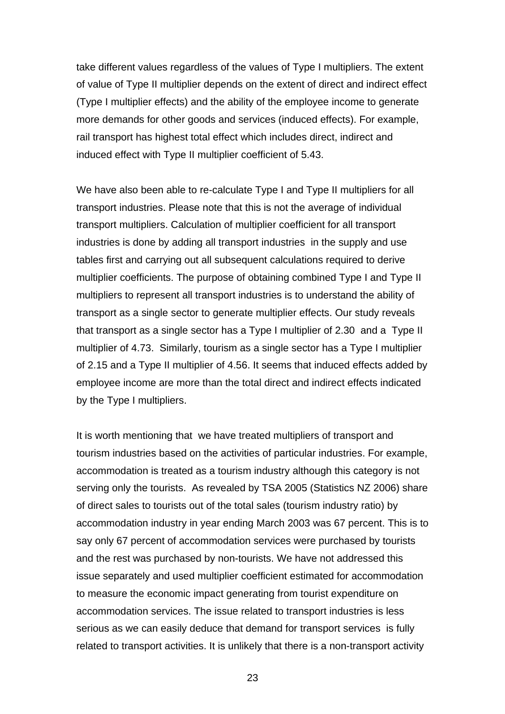take different values regardless of the values of Type I multipliers. The extent of value of Type II multiplier depends on the extent of direct and indirect effect (Type I multiplier effects) and the ability of the employee income to generate more demands for other goods and services (induced effects). For example, rail transport has highest total effect which includes direct, indirect and induced effect with Type II multiplier coefficient of 5.43.

We have also been able to re-calculate Type I and Type II multipliers for all transport industries. Please note that this is not the average of individual transport multipliers. Calculation of multiplier coefficient for all transport industries is done by adding all transport industries in the supply and use tables first and carrying out all subsequent calculations required to derive multiplier coefficients. The purpose of obtaining combined Type I and Type II multipliers to represent all transport industries is to understand the ability of transport as a single sector to generate multiplier effects. Our study reveals that transport as a single sector has a Type I multiplier of 2.30 and a Type II multiplier of 4.73. Similarly, tourism as a single sector has a Type I multiplier of 2.15 and a Type II multiplier of 4.56. It seems that induced effects added by employee income are more than the total direct and indirect effects indicated by the Type I multipliers.

It is worth mentioning that we have treated multipliers of transport and tourism industries based on the activities of particular industries. For example, accommodation is treated as a tourism industry although this category is not serving only the tourists. As revealed by TSA 2005 (Statistics NZ 2006) share of direct sales to tourists out of the total sales (tourism industry ratio) by accommodation industry in year ending March 2003 was 67 percent. This is to say only 67 percent of accommodation services were purchased by tourists and the rest was purchased by non-tourists. We have not addressed this issue separately and used multiplier coefficient estimated for accommodation to measure the economic impact generating from tourist expenditure on accommodation services. The issue related to transport industries is less serious as we can easily deduce that demand for transport services is fully related to transport activities. It is unlikely that there is a non-transport activity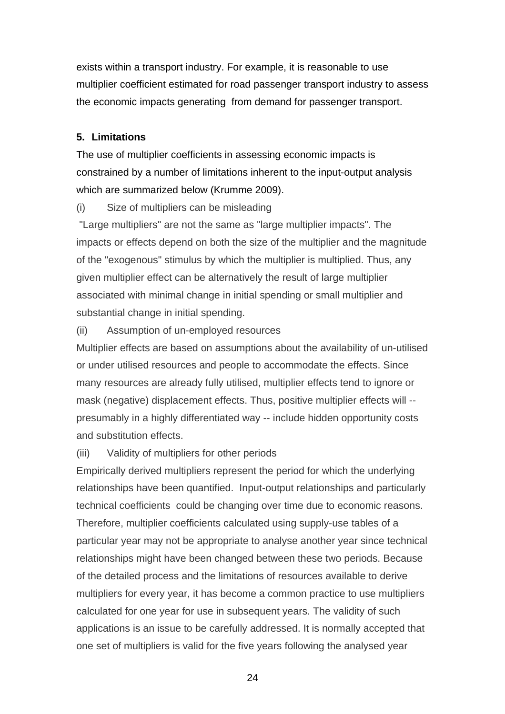exists within a transport industry. For example, it is reasonable to use multiplier coefficient estimated for road passenger transport industry to assess the economic impacts generating from demand for passenger transport.

### **5. Limitations**

The use of multiplier coefficients in assessing economic impacts is constrained by a number of limitations inherent to the input-output analysis which are summarized below (Krumme 2009).

(i) Size of multipliers can be misleading

 "Large multipliers" are not the same as "large multiplier impacts". The impacts or effects depend on both the size of the multiplier and the magnitude of the "exogenous" stimulus by which the multiplier is multiplied. Thus, any given multiplier effect can be alternatively the result of large multiplier associated with minimal change in initial spending or small multiplier and substantial change in initial spending.

#### (ii) Assumption of un-employed resources

Multiplier effects are based on assumptions about the availability of un-utilised or under utilised resources and people to accommodate the effects. Since many resources are already fully utilised, multiplier effects tend to ignore or mask (negative) displacement effects. Thus, positive multiplier effects will - presumably in a highly differentiated way -- include hidden opportunity costs and substitution effects.

#### (iii) Validity of multipliers for other periods

Empirically derived multipliers represent the period for which the underlying relationships have been quantified. Input-output relationships and particularly technical coefficients could be changing over time due to economic reasons. Therefore, multiplier coefficients calculated using supply-use tables of a particular year may not be appropriate to analyse another year since technical relationships might have been changed between these two periods. Because of the detailed process and the limitations of resources available to derive multipliers for every year, it has become a common practice to use multipliers calculated for one year for use in subsequent years. The validity of such applications is an issue to be carefully addressed. It is normally accepted that one set of multipliers is valid for the five years following the analysed year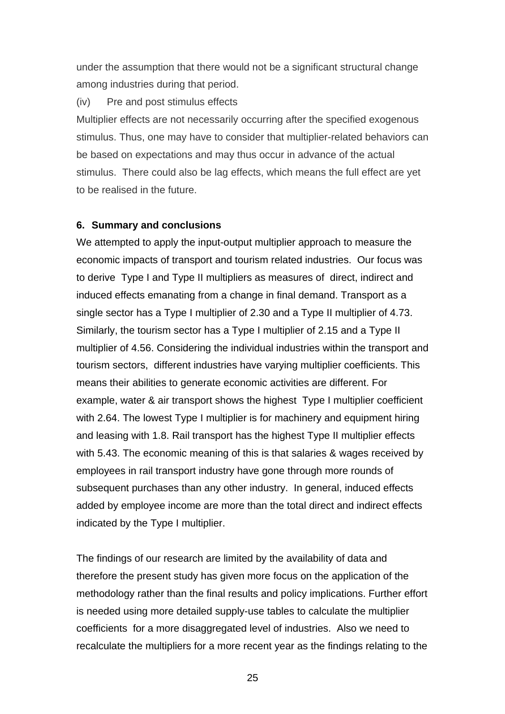under the assumption that there would not be a significant structural change among industries during that period.

#### (iv) Pre and post stimulus effects

Multiplier effects are not necessarily occurring after the specified exogenous stimulus. Thus, one may have to consider that multiplier-related behaviors can be based on expectations and may thus occur in advance of the actual stimulus. There could also be lag effects, which means the full effect are yet to be realised in the future.

#### **6. Summary and conclusions**

We attempted to apply the input-output multiplier approach to measure the economic impacts of transport and tourism related industries. Our focus was to derive Type I and Type II multipliers as measures of direct, indirect and induced effects emanating from a change in final demand. Transport as a single sector has a Type I multiplier of 2.30 and a Type II multiplier of 4.73. Similarly, the tourism sector has a Type I multiplier of 2.15 and a Type II multiplier of 4.56. Considering the individual industries within the transport and tourism sectors, different industries have varying multiplier coefficients. This means their abilities to generate economic activities are different. For example, water & air transport shows the highest Type I multiplier coefficient with 2.64. The lowest Type I multiplier is for machinery and equipment hiring and leasing with 1.8. Rail transport has the highest Type II multiplier effects with 5.43. The economic meaning of this is that salaries & wages received by employees in rail transport industry have gone through more rounds of subsequent purchases than any other industry. In general, induced effects added by employee income are more than the total direct and indirect effects indicated by the Type I multiplier.

The findings of our research are limited by the availability of data and therefore the present study has given more focus on the application of the methodology rather than the final results and policy implications. Further effort is needed using more detailed supply-use tables to calculate the multiplier coefficients for a more disaggregated level of industries. Also we need to recalculate the multipliers for a more recent year as the findings relating to the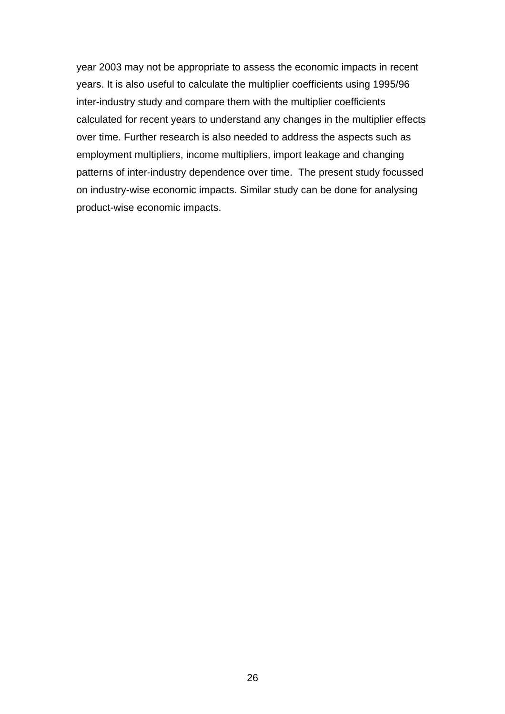year 2003 may not be appropriate to assess the economic impacts in recent years. It is also useful to calculate the multiplier coefficients using 1995/96 inter-industry study and compare them with the multiplier coefficients calculated for recent years to understand any changes in the multiplier effects over time. Further research is also needed to address the aspects such as employment multipliers, income multipliers, import leakage and changing patterns of inter-industry dependence over time. The present study focussed on industry-wise economic impacts. Similar study can be done for analysing product-wise economic impacts.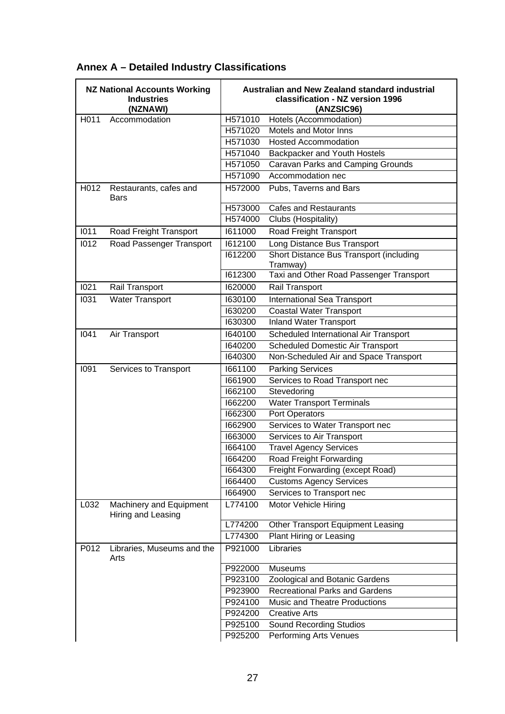|      | <b>NZ National Accounts Working</b><br><b>Industries</b><br>(NZNAWI) |                     | Australian and New Zealand standard industrial<br>classification - NZ version 1996<br>(ANZSIC96) |
|------|----------------------------------------------------------------------|---------------------|--------------------------------------------------------------------------------------------------|
| H011 | Accommodation                                                        | H571010             | Hotels (Accommodation)                                                                           |
|      |                                                                      | H571020             | Motels and Motor Inns                                                                            |
|      |                                                                      | H571030             | <b>Hosted Accommodation</b>                                                                      |
|      |                                                                      | H <sub>571040</sub> | Backpacker and Youth Hostels                                                                     |
|      |                                                                      | H571050             | Caravan Parks and Camping Grounds                                                                |
|      |                                                                      | H571090             | Accommodation nec                                                                                |
| H012 | Restaurants, cafes and<br>Bars                                       | H572000             | Pubs, Taverns and Bars                                                                           |
|      |                                                                      | H573000             | <b>Cafes and Restaurants</b>                                                                     |
|      |                                                                      | H574000             | Clubs (Hospitality)                                                                              |
| 1011 | Road Freight Transport                                               | 1611000             | Road Freight Transport                                                                           |
| 1012 | Road Passenger Transport                                             | 1612100             | Long Distance Bus Transport                                                                      |
|      |                                                                      | 1612200             | <b>Short Distance Bus Transport (including</b>                                                   |
|      |                                                                      |                     | Tramway)                                                                                         |
|      |                                                                      | 1612300             | Taxi and Other Road Passenger Transport                                                          |
| 1021 | Rail Transport                                                       | 1620000             | Rail Transport                                                                                   |
| 1031 | <b>Water Transport</b>                                               | 1630100             | <b>International Sea Transport</b>                                                               |
|      |                                                                      | 1630200             | <b>Coastal Water Transport</b>                                                                   |
|      |                                                                      | 1630300             | <b>Inland Water Transport</b>                                                                    |
| 1041 | Air Transport                                                        | 1640100             | Scheduled International Air Transport                                                            |
|      |                                                                      | 1640200             | Scheduled Domestic Air Transport                                                                 |
|      |                                                                      | 1640300             | Non-Scheduled Air and Space Transport                                                            |
| 1091 | Services to Transport                                                | 1661100             | <b>Parking Services</b>                                                                          |
|      |                                                                      | 1661900             | Services to Road Transport nec                                                                   |
|      |                                                                      | 1662100             | Stevedoring                                                                                      |
|      |                                                                      | 1662200             | <b>Water Transport Terminals</b>                                                                 |
|      |                                                                      | 1662300             | Port Operators                                                                                   |
|      |                                                                      | 1662900             | Services to Water Transport nec                                                                  |
|      |                                                                      | 1663000             | Services to Air Transport                                                                        |
|      |                                                                      | 1664100             | <b>Travel Agency Services</b>                                                                    |
|      |                                                                      | 1664200             | Road Freight Forwarding                                                                          |
|      |                                                                      | 1664300             | Freight Forwarding (except Road)                                                                 |
|      |                                                                      | 1664400             | <b>Customs Agency Services</b>                                                                   |
|      |                                                                      | <b>1664900</b>      | Services to Transport nec                                                                        |
| L032 | Machinery and Equipment<br>Hiring and Leasing                        | L774100             | Motor Vehicle Hiring                                                                             |
|      |                                                                      | L774200             | Other Transport Equipment Leasing                                                                |
|      |                                                                      | L774300             | Plant Hiring or Leasing                                                                          |
| P012 | Libraries, Museums and the<br>Arts                                   | P921000             | Libraries                                                                                        |
|      |                                                                      | P922000             | <b>Museums</b>                                                                                   |
|      |                                                                      | P923100             | Zoological and Botanic Gardens                                                                   |
|      |                                                                      | P923900             | <b>Recreational Parks and Gardens</b>                                                            |
|      |                                                                      | P924100             | <b>Music and Theatre Productions</b>                                                             |
|      |                                                                      | P924200             | <b>Creative Arts</b>                                                                             |
|      |                                                                      | P925100             | <b>Sound Recording Studios</b>                                                                   |
|      |                                                                      | P925200             | Performing Arts Venues                                                                           |

# **Annex A – Detailed Industry Classifications**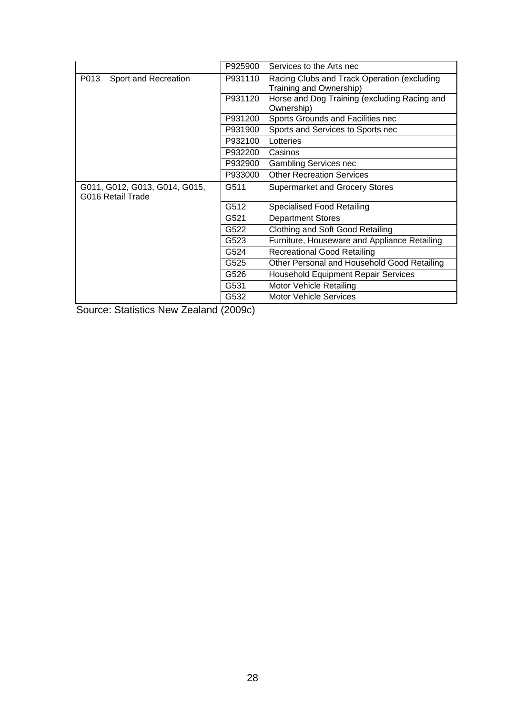|                                                    | P925900 | Services to the Arts nec                                               |
|----------------------------------------------------|---------|------------------------------------------------------------------------|
| P013<br>Sport and Recreation                       | P931110 | Racing Clubs and Track Operation (excluding<br>Training and Ownership) |
|                                                    | P931120 | Horse and Dog Training (excluding Racing and<br>Ownership)             |
|                                                    | P931200 | Sports Grounds and Facilities nec                                      |
|                                                    | P931900 | Sports and Services to Sports nec                                      |
|                                                    | P932100 | Lotteries                                                              |
|                                                    | P932200 | Casinos                                                                |
|                                                    | P932900 | <b>Gambling Services nec</b>                                           |
|                                                    | P933000 | <b>Other Recreation Services</b>                                       |
|                                                    |         |                                                                        |
| G011, G012, G013, G014, G015,<br>G016 Retail Trade | G511    | <b>Supermarket and Grocery Stores</b>                                  |
|                                                    | G512    | Specialised Food Retailing                                             |
|                                                    | G521    | <b>Department Stores</b>                                               |
|                                                    | G522    | Clothing and Soft Good Retailing                                       |
|                                                    | G523    | Furniture, Houseware and Appliance Retailing                           |
|                                                    | G524    | <b>Recreational Good Retailing</b>                                     |
|                                                    | G525    | Other Personal and Household Good Retailing                            |
|                                                    | G526    | <b>Household Equipment Repair Services</b>                             |
|                                                    | G531    | Motor Vehicle Retailing                                                |

Source: Statistics New Zealand (2009c)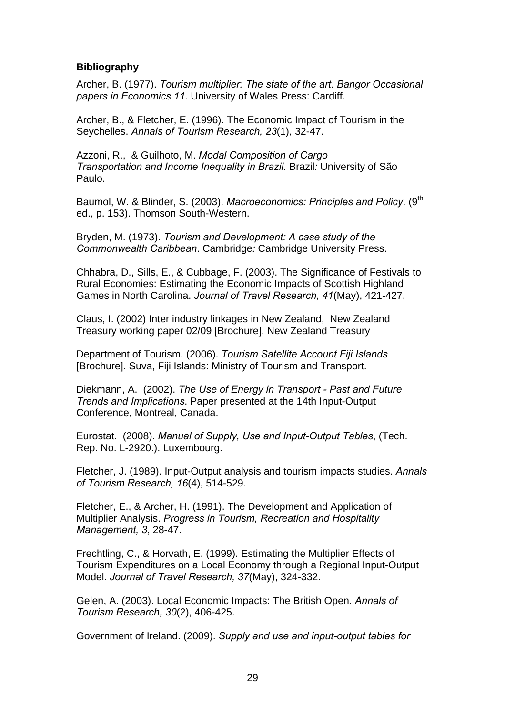### **Bibliography**

Archer, B. (1977). *Tourism multiplier: The state of the art. Bangor Occasional papers in Economics 11*. University of Wales Press: Cardiff.

Archer, B., & Fletcher, E. (1996). The Economic Impact of Tourism in the Seychelles. *Annals of Tourism Research, 23*(1), 32-47.

Azzoni, R., & Guilhoto, M. *Modal Composition of Cargo Transportation and Income Inequality in Brazil.* Brazil*:* University of São Paulo.

Baumol, W. & Blinder, S. (2003). *Macroeconomics: Principles and Policy*. (9<sup>th</sup> ed., p. 153). Thomson South-Western.

Bryden, M. (1973). *Tourism and Development: A case study of the Commonwealth Caribbean*. Cambridge*:* Cambridge University Press.

Chhabra, D., Sills, E., & Cubbage, F. (2003). The Significance of Festivals to Rural Economies: Estimating the Economic Impacts of Scottish Highland Games in North Carolina. *Journal of Travel Research, 41*(May), 421-427.

Claus, I. (2002) Inter industry linkages in New Zealand, New Zealand Treasury working paper 02/09 [Brochure]. New Zealand Treasury

Department of Tourism. (2006). *Tourism Satellite Account Fiji Islands*  [Brochure]. Suva, Fiji Islands: Ministry of Tourism and Transport.

Diekmann, A. (2002). *The Use of Energy in Transport - Past and Future Trends and Implications*. Paper presented at the 14th Input-Output Conference, Montreal, Canada.

Eurostat. (2008). *Manual of Supply, Use and Input-Output Tables*, (Tech. Rep. No. L-2920.). Luxembourg.

Fletcher, J. (1989). Input-Output analysis and tourism impacts studies. *Annals of Tourism Research, 16*(4), 514-529.

Fletcher, E., & Archer, H. (1991). The Development and Application of Multiplier Analysis. *Progress in Tourism, Recreation and Hospitality Management, 3*, 28-47.

Frechtling, C., & Horvath, E. (1999). Estimating the Multiplier Effects of Tourism Expenditures on a Local Economy through a Regional Input-Output Model. *Journal of Travel Research, 37*(May), 324-332.

Gelen, A. (2003). Local Economic Impacts: The British Open. *Annals of Tourism Research, 30*(2), 406-425.

Government of Ireland. (2009). *Supply and use and input-output tables for*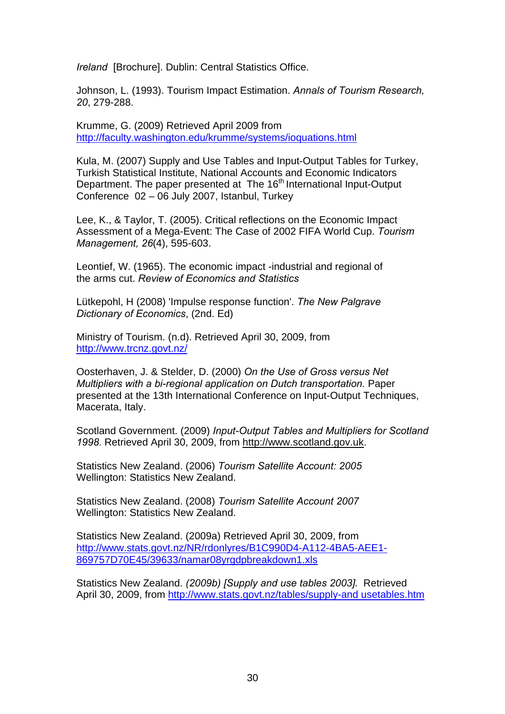*Ireland* [Brochure]. Dublin: Central Statistics Office.

Johnson, L. (1993). Tourism Impact Estimation. *Annals of Tourism Research, 20*, 279-288.

Krumme, G. (2009) Retrieved April 2009 from <http://faculty.washington.edu/krumme/systems/ioquations.html>

Kula, M. (2007) Supply and Use Tables and Input-Output Tables for Turkey, Turkish Statistical Institute, National Accounts and Economic Indicators Department. The paper presented at The 16<sup>th</sup> International Input-Output Conference 02 – 06 July 2007, Istanbul, Turkey

Lee, K., & Taylor, T. (2005). Critical reflections on the Economic Impact Assessment of a Mega-Event: The Case of 2002 FIFA World Cup. *Tourism Management, 26*(4), 595-603.

Leontief, W. (1965). The economic impact -industrial and regional of the arms cut. *Review of Economics and Statistics*

Lütkepohl, H (2008) 'Impulse response function'. *The New Palgrave Dictionary of Economics*, (2nd. Ed)

Ministry of Tourism. (n.d). Retrieved April 30, 2009, from <http://www.trcnz.govt.nz/>

Oosterhaven, J. & Stelder, D. (2000) *On the Use of Gross versus Net Multipliers with a bi-regional application on Dutch transportation.* Paper presented at the 13th International Conference on Input-Output Techniques, Macerata, Italy.

Scotland Government. (2009) *Input-Output Tables and Multipliers for Scotland 1998.* Retrieved April 30, 2009, from [http://www.scotland.gov.uk.](http://www.scotland.gov.uk/)

Statistics New Zealand. (2006) *Tourism Satellite Account: 2005* Wellington: Statistics New Zealand.

Statistics New Zealand. (2008) *Tourism Satellite Account 2007* Wellington: Statistics New Zealand.

Statistics New Zealand. (2009a) Retrieved April 30, 2009, from [http://www.stats.govt.nz/NR/rdonlyres/B1C990D4-A112-4BA5-AEE1-](http://www.stats.govt.nz/NR/rdonlyres/B1C990D4-A112-4BA5-AEE1-869757D70E45/39633/namar08yrgdpbreakdown1.xls) [869757D70E45/39633/namar08yrgdpbreakdown1.xls](http://www.stats.govt.nz/NR/rdonlyres/B1C990D4-A112-4BA5-AEE1-869757D70E45/39633/namar08yrgdpbreakdown1.xls)

Statistics New Zealand. *(2009b) [Supply and use tables 2003].* Retrieved April 30, 2009, from [http://www.stats.govt.nz/tables/supply-and usetables.htm](http://www.stats.govt.nz/tables/supply-and%20usetables.htm)